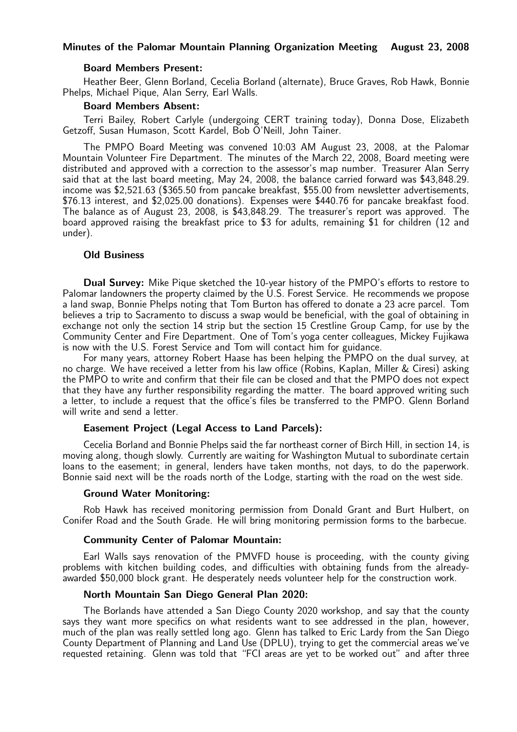### Minutes of the Palomar Mountain Planning Organization Meeting August 23, 2008

#### Board Members Present:

Heather Beer, Glenn Borland, Cecelia Borland (alternate), Bruce Graves, Rob Hawk, Bonnie Phelps, Michael Pique, Alan Serry, Earl Walls.

### Board Members Absent:

Terri Bailey, Robert Carlyle (undergoing CERT training today), Donna Dose, Elizabeth Getzoff, Susan Humason, Scott Kardel, Bob O'Neill, John Tainer.

The PMPO Board Meeting was convened 10:03 AM August 23, 2008, at the Palomar Mountain Volunteer Fire Department. The minutes of the March 22, 2008, Board meeting were distributed and approved with a correction to the assessor's map number. Treasurer Alan Serry said that at the last board meeting, May 24, 2008, the balance carried forward was \$43,848.29. income was \$2,521.63 (\$365.50 from pancake breakfast, \$55.00 from newsletter advertisements, \$76.13 interest, and \$2,025.00 donations). Expenses were \$440.76 for pancake breakfast food. The balance as of August 23, 2008, is \$43,848.29. The treasurer's report was approved. The board approved raising the breakfast price to \$3 for adults, remaining \$1 for children (12 and under).

### Old Business

Dual Survey: Mike Pique sketched the 10-year history of the PMPO's efforts to restore to Palomar landowners the property claimed by the U.S. Forest Service. He recommends we propose a land swap, Bonnie Phelps noting that Tom Burton has offered to donate a 23 acre parcel. Tom believes a trip to Sacramento to discuss a swap would be beneficial, with the goal of obtaining in exchange not only the section 14 strip but the section 15 Crestline Group Camp, for use by the Community Center and Fire Department. One of Tom's yoga center colleagues, Mickey Fujikawa is now with the U.S. Forest Service and Tom will contact him for guidance.

For many years, attorney Robert Haase has been helping the PMPO on the dual survey, at no charge. We have received a letter from his law office (Robins, Kaplan, Miller & Ciresi) asking the PMPO to write and confirm that their file can be closed and that the PMPO does not expect that they have any further responsibility regarding the matter. The board approved writing such a letter, to include a request that the office's files be transferred to the PMPO. Glenn Borland will write and send a letter.

### Easement Project (Legal Access to Land Parcels):

Cecelia Borland and Bonnie Phelps said the far northeast corner of Birch Hill, in section 14, is moving along, though slowly. Currently are waiting for Washington Mutual to subordinate certain loans to the easement; in general, lenders have taken months, not days, to do the paperwork. Bonnie said next will be the roads north of the Lodge, starting with the road on the west side.

### Ground Water Monitoring:

Rob Hawk has received monitoring permission from Donald Grant and Burt Hulbert, on Conifer Road and the South Grade. He will bring monitoring permission forms to the barbecue.

### Community Center of Palomar Mountain:

Earl Walls says renovation of the PMVFD house is proceeding, with the county giving problems with kitchen building codes, and difficulties with obtaining funds from the alreadyawarded \$50,000 block grant. He desperately needs volunteer help for the construction work.

# North Mountain San Diego General Plan 2020:

The Borlands have attended a San Diego County 2020 workshop, and say that the county says they want more specifics on what residents want to see addressed in the plan, however, much of the plan was really settled long ago. Glenn has talked to Eric Lardy from the San Diego County Department of Planning and Land Use (DPLU), trying to get the commercial areas we've requested retaining. Glenn was told that "FCI areas are yet to be worked out" and after three